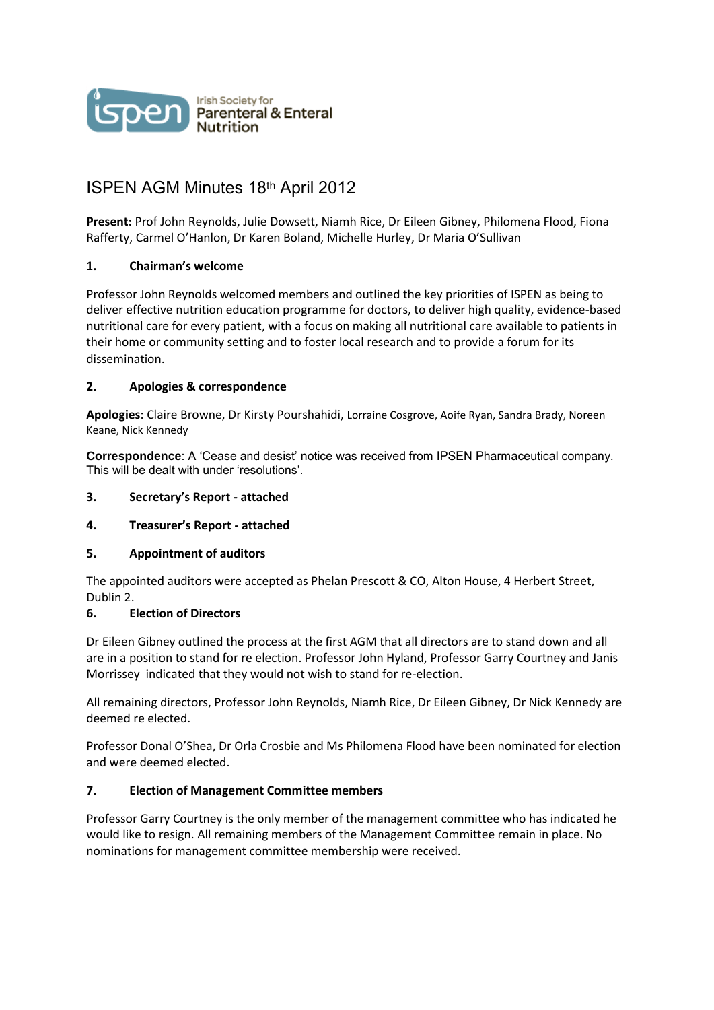

# ISPEN AGM Minutes 18th April 2012

**Present:** Prof John Reynolds, Julie Dowsett, Niamh Rice, Dr Eileen Gibney, Philomena Flood, Fiona Rafferty, Carmel O'Hanlon, Dr Karen Boland, Michelle Hurley, Dr Maria O'Sullivan

# **1. Chairman's welcome**

Professor John Reynolds welcomed members and outlined the key priorities of ISPEN as being to deliver effective nutrition education programme for doctors, to deliver high quality, evidence-based nutritional care for every patient, with a focus on making all nutritional care available to patients in their home or community setting and to foster local research and to provide a forum for its dissemination.

### **2. Apologies & correspondence**

**Apologies**: Claire Browne, Dr Kirsty Pourshahidi, Lorraine Cosgrove, Aoife Ryan, Sandra Brady, Noreen Keane, Nick Kennedy

**Correspondence**: A 'Cease and desist' notice was received from IPSEN Pharmaceutical company. This will be dealt with under 'resolutions'.

### **3. Secretary's Report - attached**

### **4. Treasurer's Report - attached**

### **5. Appointment of auditors**

The appointed auditors were accepted as Phelan Prescott & CO, Alton House, 4 Herbert Street, Dublin 2.

### **6. Election of Directors**

Dr Eileen Gibney outlined the process at the first AGM that all directors are to stand down and all are in a position to stand for re election. Professor John Hyland, Professor Garry Courtney and Janis Morrissey indicated that they would not wish to stand for re-election.

All remaining directors, Professor John Reynolds, Niamh Rice, Dr Eileen Gibney, Dr Nick Kennedy are deemed re elected.

Professor Donal O'Shea, Dr Orla Crosbie and Ms Philomena Flood have been nominated for election and were deemed elected.

### **7. Election of Management Committee members**

Professor Garry Courtney is the only member of the management committee who has indicated he would like to resign. All remaining members of the Management Committee remain in place. No nominations for management committee membership were received.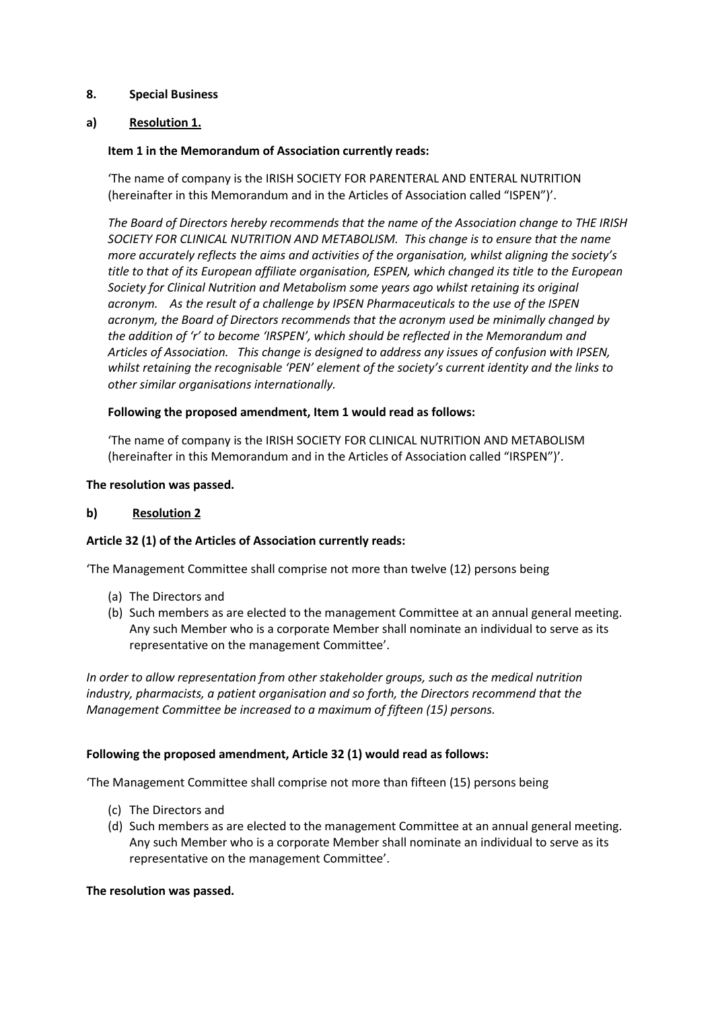## **8. Special Business**

# **a) Resolution 1.**

# **Item 1 in the Memorandum of Association currently reads:**

'The name of company is the IRISH SOCIETY FOR PARENTERAL AND ENTERAL NUTRITION (hereinafter in this Memorandum and in the Articles of Association called "ISPEN")'.

*The Board of Directors hereby recommends that the name of the Association change to THE IRISH SOCIETY FOR CLINICAL NUTRITION AND METABOLISM. This change is to ensure that the name more accurately reflects the aims and activities of the organisation, whilst aligning the society's title to that of its European affiliate organisation, ESPEN, which changed its title to the European Society for Clinical Nutrition and Metabolism some years ago whilst retaining its original acronym. As the result of a challenge by IPSEN Pharmaceuticals to the use of the ISPEN acronym, the Board of Directors recommends that the acronym used be minimally changed by the addition of 'r' to become 'IRSPEN', which should be reflected in the Memorandum and Articles of Association. This change is designed to address any issues of confusion with IPSEN, whilst retaining the recognisable 'PEN' element of the society's current identity and the links to other similar organisations internationally.*

### **Following the proposed amendment, Item 1 would read as follows:**

'The name of company is the IRISH SOCIETY FOR CLINICAL NUTRITION AND METABOLISM (hereinafter in this Memorandum and in the Articles of Association called "IRSPEN")'.

### **The resolution was passed.**

### **b) Resolution 2**

### **Article 32 (1) of the Articles of Association currently reads:**

'The Management Committee shall comprise not more than twelve (12) persons being

- (a) The Directors and
- (b) Such members as are elected to the management Committee at an annual general meeting. Any such Member who is a corporate Member shall nominate an individual to serve as its representative on the management Committee'.

*In order to allow representation from other stakeholder groups, such as the medical nutrition industry, pharmacists, a patient organisation and so forth, the Directors recommend that the Management Committee be increased to a maximum of fifteen (15) persons.*

### **Following the proposed amendment, Article 32 (1) would read as follows:**

'The Management Committee shall comprise not more than fifteen (15) persons being

- (c) The Directors and
- (d) Such members as are elected to the management Committee at an annual general meeting. Any such Member who is a corporate Member shall nominate an individual to serve as its representative on the management Committee'.

### **The resolution was passed.**